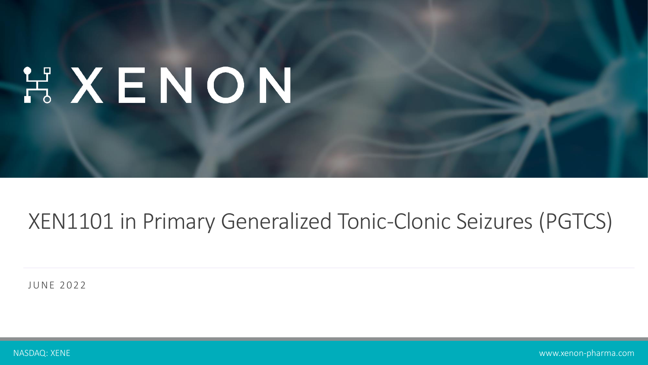# HXENON

### XEN1101 in Primary Generalized Tonic-Clonic Seizures (PGTCS)

JUNE 2022

NASDAQ: XENE www.xenon-pharma.com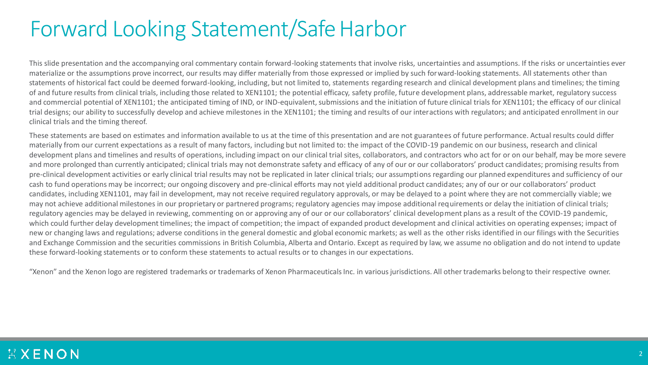### Forward Looking Statement/Safe Harbor

This slide presentation and the accompanying oral commentary contain forward-looking statements that involve risks, uncertainties and assumptions. If the risks or uncertainties ever materialize or the assumptions prove incorrect, our results may differ materially from those expressed or implied by such forward-looking statements. All statements other than statements of historical fact could be deemed forward-looking, including, but not limited to, statements regarding research and clinical development plans and timelines; the timing of and future results from clinical trials, including those related to XEN1101; the potential efficacy, safety profile, future development plans, addressable market, regulatory success and commercial potential of XEN1101; the anticipated timing of IND, or IND-equivalent, submissions and the initiation of future clinical trials for XEN1101; the efficacy of our clinical trial designs; our ability to successfully develop and achieve milestones in the XEN1101; the timing and results of our interactions with regulators; and anticipated enrollment in our clinical trials and the timing thereof.

These statements are based on estimates and information available to us at the time of this presentation and are not guarantees of future performance. Actual results could differ materially from our current expectations as a result of many factors, including but not limited to: the impact of the COVID-19 pandemic on our business, research and clinical development plans and timelines and results of operations, including impact on our clinical trial sites, collaborators, and contractors who act for or on our behalf, may be more severe and more prolonged than currently anticipated; clinical trials may not demonstrate safety and efficacy of any of our or our collaborators' product candidates; promising results from pre-clinical development activities or early clinical trial results may not be replicated in later clinical trials; our assumptions regarding our planned expenditures and sufficiency of our cash to fund operations may be incorrect; our ongoing discovery and pre-clinical efforts may not yield additional product candidates; any of our or our collaborators' product candidates, including XEN1101, may fail in development, may not receive required regulatory approvals, or may be delayed to a point where they are not commercially viable; we may not achieve additional milestones in our proprietary or partnered programs; regulatory agencies may impose additional requirements or delay the initiation of clinical trials; regulatory agencies may be delayed in reviewing, commenting on or approving any of our or our collaborators' clinical development plans as a result of the COVID-19 pandemic, which could further delay development timelines; the impact of competition; the impact of expanded product development and clinical activities on operating expenses; impact of new or changing laws and regulations; adverse conditions in the general domestic and global economic markets; as well as the other risks identified in our filings with the Securities and Exchange Commission and the securities commissions in British Columbia, Alberta and Ontario. Except as required by law, we assume no obligation and do not intend to update these forward-looking statements or to conform these statements to actual results or to changes in our expectations.

"Xenon" and the Xenon logo are registered trademarks or trademarks of Xenon Pharmaceuticals Inc. in various jurisdictions. All other trademarks belong to their respective owner.

#### XXENON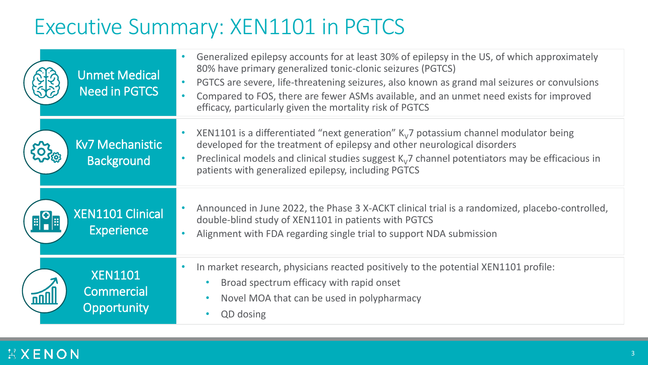## Executive Summary: XEN1101 in PGTCS

|                         | Unmet Medical<br><b>Need in PGTCS</b>        | Generalized epilepsy accounts for at least 30% of epilepsy in the US, of which approximately<br>$\bullet$<br>80% have primary generalized tonic-clonic seizures (PGTCS)<br>PGTCS are severe, life-threatening seizures, also known as grand mal seizures or convulsions<br>$\bullet$<br>Compared to FOS, there are fewer ASMs available, and an unmet need exists for improved<br>$\bullet$<br>efficacy, particularly given the mortality risk of PGTCS |
|-------------------------|----------------------------------------------|---------------------------------------------------------------------------------------------------------------------------------------------------------------------------------------------------------------------------------------------------------------------------------------------------------------------------------------------------------------------------------------------------------------------------------------------------------|
|                         | <b>Kv7 Mechanistic</b><br><b>Background</b>  | XEN1101 is a differentiated "next generation" $K_v$ 7 potassium channel modulator being<br>developed for the treatment of epilepsy and other neurological disorders<br>Preclinical models and clinical studies suggest $K_v$ 7 channel potentiators may be efficacious in<br>$\bullet$<br>patients with generalized epilepsy, including PGTCS                                                                                                           |
| $\mathbb{E}^{\text{O}}$ | <b>XEN1101 Clinical</b><br><b>Experience</b> | Announced in June 2022, the Phase 3 X-ACKT clinical trial is a randomized, placebo-controlled,<br>$\bullet$<br>double-blind study of XEN1101 in patients with PGTCS<br>Alignment with FDA regarding single trial to support NDA submission<br>$\bullet$                                                                                                                                                                                                 |
|                         | <b>XEN1101</b><br>Commercial<br>Opportunity  | In market research, physicians reacted positively to the potential XEN1101 profile:<br>Broad spectrum efficacy with rapid onset<br>Novel MOA that can be used in polypharmacy<br><b>QD</b> dosing                                                                                                                                                                                                                                                       |

### **HXENON**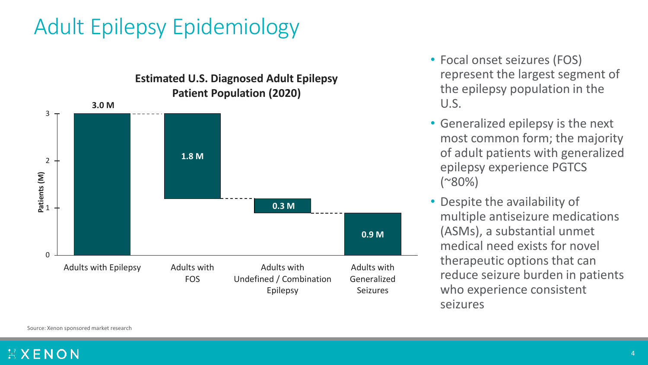## Adult Epilepsy Epidemiology



- Focal onset seizures (FOS) represent the largest segment of the epilepsy population in the U.S.
- Generalized epilepsy is the next most common form; the majority of adult patients with generalized epilepsy experience PGTCS  $(*80\%)$
- Despite the availability of multiple antiseizure medications (ASMs), a substantial unmet medical need exists for novel therapeutic options that can reduce seizure burden in patients who experience consistent seizures

Source: Xenon sponsored market research

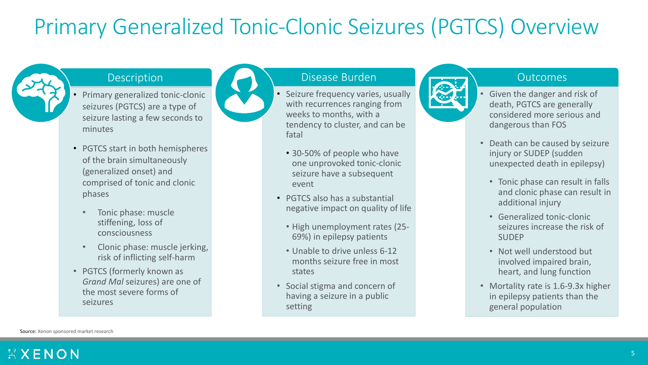## Primary Generalized Tonic-Clonic Seizures (PGTCS) Overview



- Primary generalized tonic-clonic seizures (PGTCS) are a type of seizure lasting a few seconds to minutes
- PGTCS start in both hemispheres of the brain simultaneously (generalized onset) and comprised of tonic and clonic phases
	- Tonic phase: muscle stiffening, loss of consciousness
	- Clonic phase: muscle jerking, risk of inflicting self-harm
- PGTCS (formerly known as *Grand Mal* seizures) are one of the most severe forms of seizures

#### Description Disease Burden Disease Burden Disease Burden Disease Disease Disease Disease Disease Disease Disease Disease Disease Disease Disease Disease Disease Disease Disease Disease Disease Disease Disease Disease Disea

- Seizure frequency varies, usually with recurrences ranging from weeks to months, with a tendency to cluster, and can be fatal
- 30-50% of people who have one unprovoked tonic-clonic seizure have a subsequent event
- PGTCS also has a substantial negative impact on quality of life
	- High unemployment rates (25- 69%) in epilepsy patients
- Unable to drive unless 6-12 months seizure free in most states
- Social stigma and concern of having a seizure in a public setting



- Given the danger and risk of death, PGTCS are generally considered more serious and dangerous than FOS
- Death can be caused by seizure injury or SUDEP (sudden unexpected death in epilepsy)
	- Tonic phase can result in falls and clonic phase can result in additional injury
	- Generalized tonic-clonic seizures increase the risk of SUDEP
	- Not well understood but involved impaired brain, heart, and lung function
- Mortality rate is 1.6-9.3x higher in epilepsy patients than the general population

Source: Xenon sponsored market research

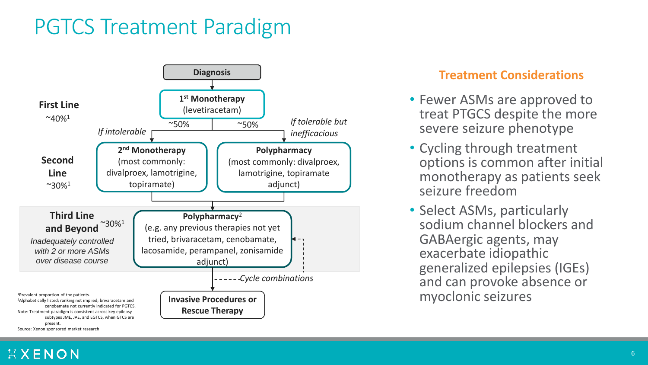### PGTCS Treatment Paradigm



#### **Treatment Considerations**

- Fewer ASMs are approved to treat PTGCS despite the more severe seizure phenotype
- Cycling through treatment options is common after initial monotherapy as patients seek seizure freedom
- Select ASMs, particularly sodium channel blockers and GABAergic agents, may exacerbate idiopathic generalized epilepsies (IGEs) and can provoke absence or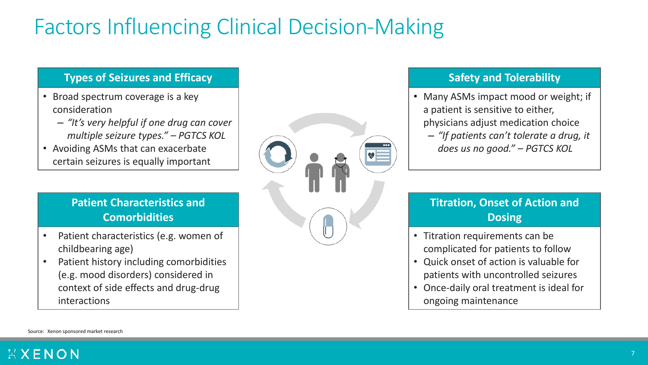## Factors Influencing Clinical Decision-Making

#### **Types of Seizures and Efficacy**

- Broad spectrum coverage is a key consideration
	- *"It's very helpful if one drug can cover multiple seizure types." – PGTCS KOL*
- Avoiding ASMs that can exacerbate certain seizures is equally important

#### **Patient Characteristics and Comorbidities**

- Patient characteristics (e.g. women of childbearing age)
- Patient history including comorbidities (e.g. mood disorders) considered in context of side effects and drug-drug interactions



#### **Safety and Tolerability**

- Many ASMs impact mood or weight; if a patient is sensitive to either, physicians adjust medication choice
	- *"If patients can't tolerate a drug, it does us no good." – PGTCS KOL*

### **Titration, Onset of Action and Dosing**

- Titration requirements can be complicated for patients to follow
- Quick onset of action is valuable for patients with uncontrolled seizures
- Once-daily oral treatment is ideal for ongoing maintenance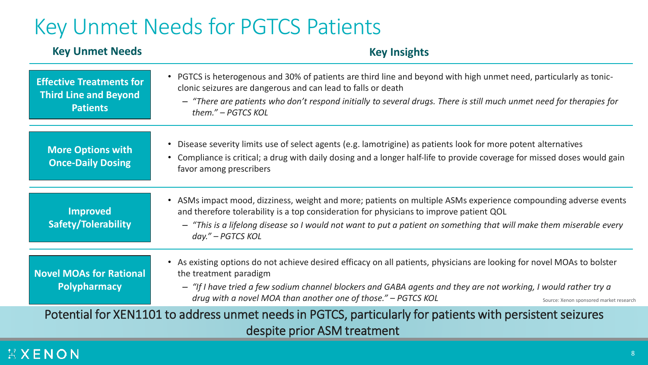### Key Unmet Needs for PGTCS Patients

#### **Key Unmet Needs Key Insights**

| <b>Effective Treatments for</b><br><b>Third Line and Beyond</b><br><b>Patients</b>                                                       | • PGTCS is heterogenous and 30% of patients are third line and beyond with high unmet need, particularly as tonic-<br>clonic seizures are dangerous and can lead to falls or death<br>- "There are patients who don't respond initially to several drugs. There is still much unmet need for therapies for<br>them." - PGTCS KOL                                                 |  |  |  |
|------------------------------------------------------------------------------------------------------------------------------------------|----------------------------------------------------------------------------------------------------------------------------------------------------------------------------------------------------------------------------------------------------------------------------------------------------------------------------------------------------------------------------------|--|--|--|
| <b>More Options with</b><br><b>Once-Daily Dosing</b>                                                                                     | • Disease severity limits use of select agents (e.g. lamotrigine) as patients look for more potent alternatives<br>Compliance is critical; a drug with daily dosing and a longer half-life to provide coverage for missed doses would gain<br>$\bullet$<br>favor among prescribers                                                                                               |  |  |  |
| <b>Improved</b><br><b>Safety/Tolerability</b>                                                                                            | • ASMs impact mood, dizziness, weight and more; patients on multiple ASMs experience compounding adverse events<br>and therefore tolerability is a top consideration for physicians to improve patient QOL<br>- "This is a lifelong disease so I would not want to put a patient on something that will make them miserable every<br>day." - PGTCS KOL                           |  |  |  |
| <b>Novel MOAs for Rational</b><br><b>Polypharmacy</b>                                                                                    | • As existing options do not achieve desired efficacy on all patients, physicians are looking for novel MOAs to bolster<br>the treatment paradigm<br>- "If I have tried a few sodium channel blockers and GABA agents and they are not working, I would rather try a<br>drug with a novel MOA than another one of those." - PGTCS KOL<br>Source: Xenon sponsored market research |  |  |  |
| Potential for XEN1101 to address unmet needs in PGTCS, particularly for patients with persistent seizures<br>despite prior ASM treatment |                                                                                                                                                                                                                                                                                                                                                                                  |  |  |  |

### **HXENON**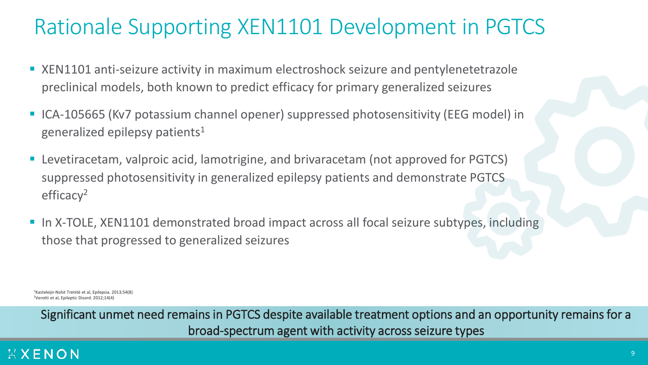## Rationale Supporting XEN1101 Development in PGTCS

- XEN1101 anti-seizure activity in maximum electroshock seizure and pentylenetetrazole preclinical models, both known to predict efficacy for primary generalized seizures
- ICA-105665 (Kv7 potassium channel opener) suppressed photosensitivity (EEG model) in generalized epilepsy patients<sup>1</sup>
- Levetiracetam, valproic acid, lamotrigine, and brivaracetam (not approved for PGTCS) suppressed photosensitivity in generalized epilepsy patients and demonstrate PGTCS efficacy<sup>2</sup>
- In X-TOLE, XEN1101 demonstrated broad impact across all focal seizure subtypes, including those that progressed to generalized seizures

<sup>1</sup> Kasteleijn-Nolst Trenité et al, Epilepsia. 2013;54(8) <sup>2</sup>Verotti et al, Epileptic Disord. 2012;14(4)

Significant unmet need remains in PGTCS despite available treatment options and an opportunity remains for a broad-spectrum agent with activity across seizure types

### XXENON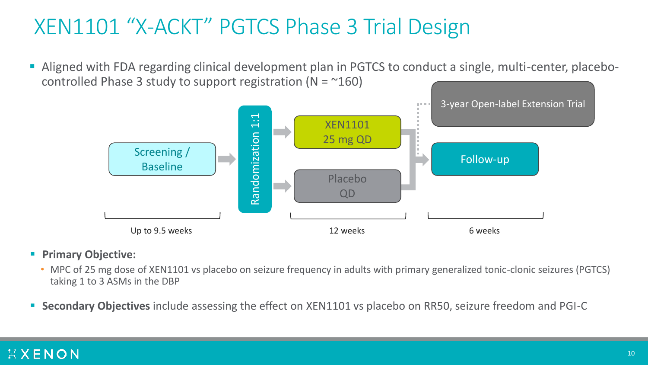## XEN1101 "X-ACKT" PGTCS Phase 3 Trial Design

■ Aligned with FDA regarding clinical development plan in PGTCS to conduct a single, multi-center, placebocontrolled Phase 3 study to support registration ( $N = 160$ )



#### ▪ **Primary Objective:**

- MPC of 25 mg dose of XEN1101 vs placebo on seizure frequency in adults with primary generalized tonic-clonic seizures (PGTCS) taking 1 to 3 ASMs in the DBP
- **Secondary Objectives** include assessing the effect on XEN1101 vs placebo on RR50, seizure freedom and PGI-C